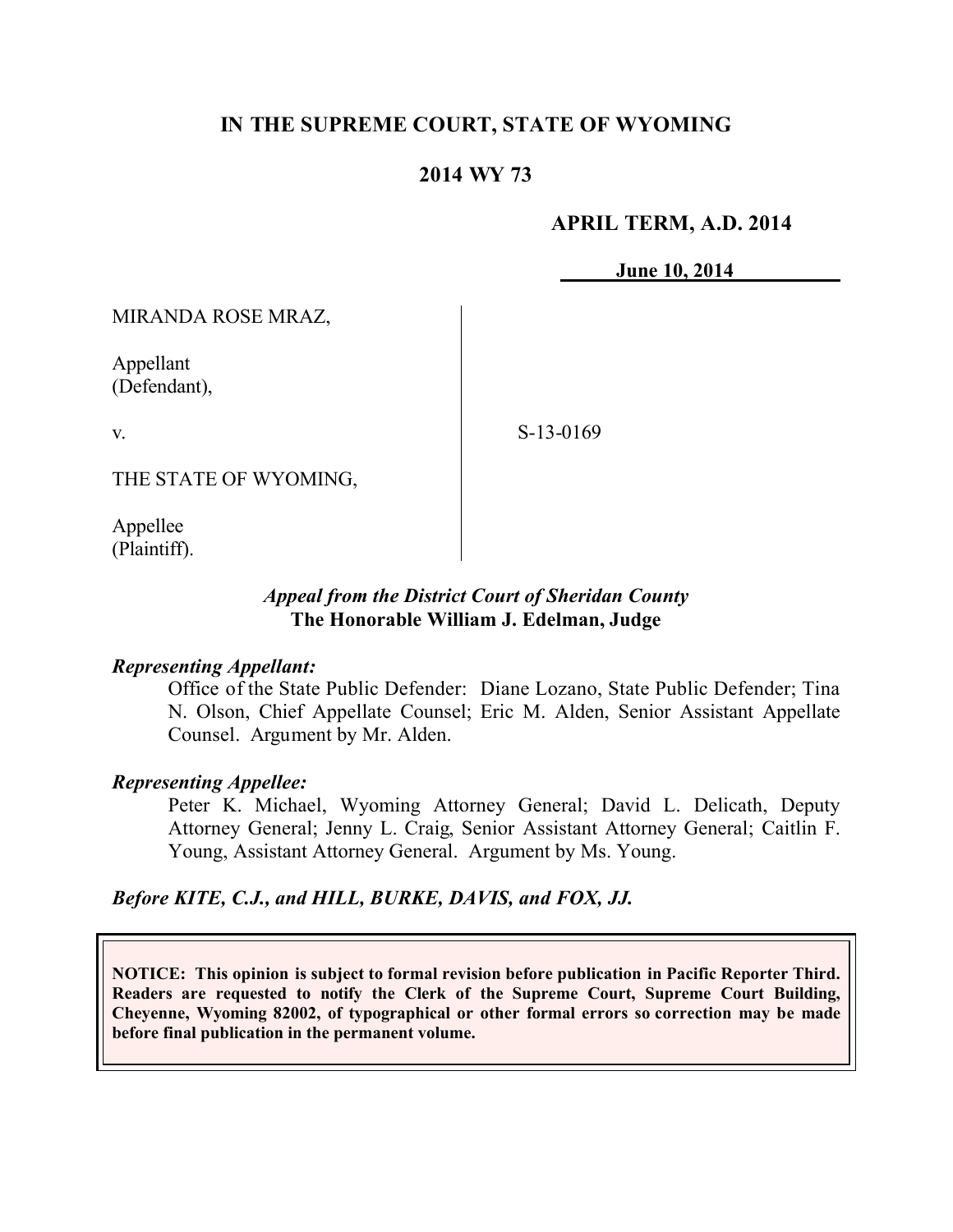# **IN THE SUPREME COURT, STATE OF WYOMING**

# **2014 WY 73**

### **APRIL TERM, A.D. 2014**

**June 10, 2014**

MIRANDA ROSE MRAZ,

Appellant (Defendant),

v.

S-13-0169

THE STATE OF WYOMING,

Appellee (Plaintiff).

# *Appeal from the District Court of Sheridan County* **The Honorable William J. Edelman, Judge**

### *Representing Appellant:*

Office of the State Public Defender: Diane Lozano, State Public Defender; Tina N. Olson, Chief Appellate Counsel; Eric M. Alden, Senior Assistant Appellate Counsel. Argument by Mr. Alden.

### *Representing Appellee:*

Peter K. Michael, Wyoming Attorney General; David L. Delicath, Deputy Attorney General; Jenny L. Craig, Senior Assistant Attorney General; Caitlin F. Young, Assistant Attorney General. Argument by Ms. Young.

### *Before KITE, C.J., and HILL, BURKE, DAVIS, and FOX, JJ.*

**NOTICE: This opinion is subject to formal revision before publication in Pacific Reporter Third. Readers are requested to notify the Clerk of the Supreme Court, Supreme Court Building, Cheyenne, Wyoming 82002, of typographical or other formal errors so correction may be made before final publication in the permanent volume.**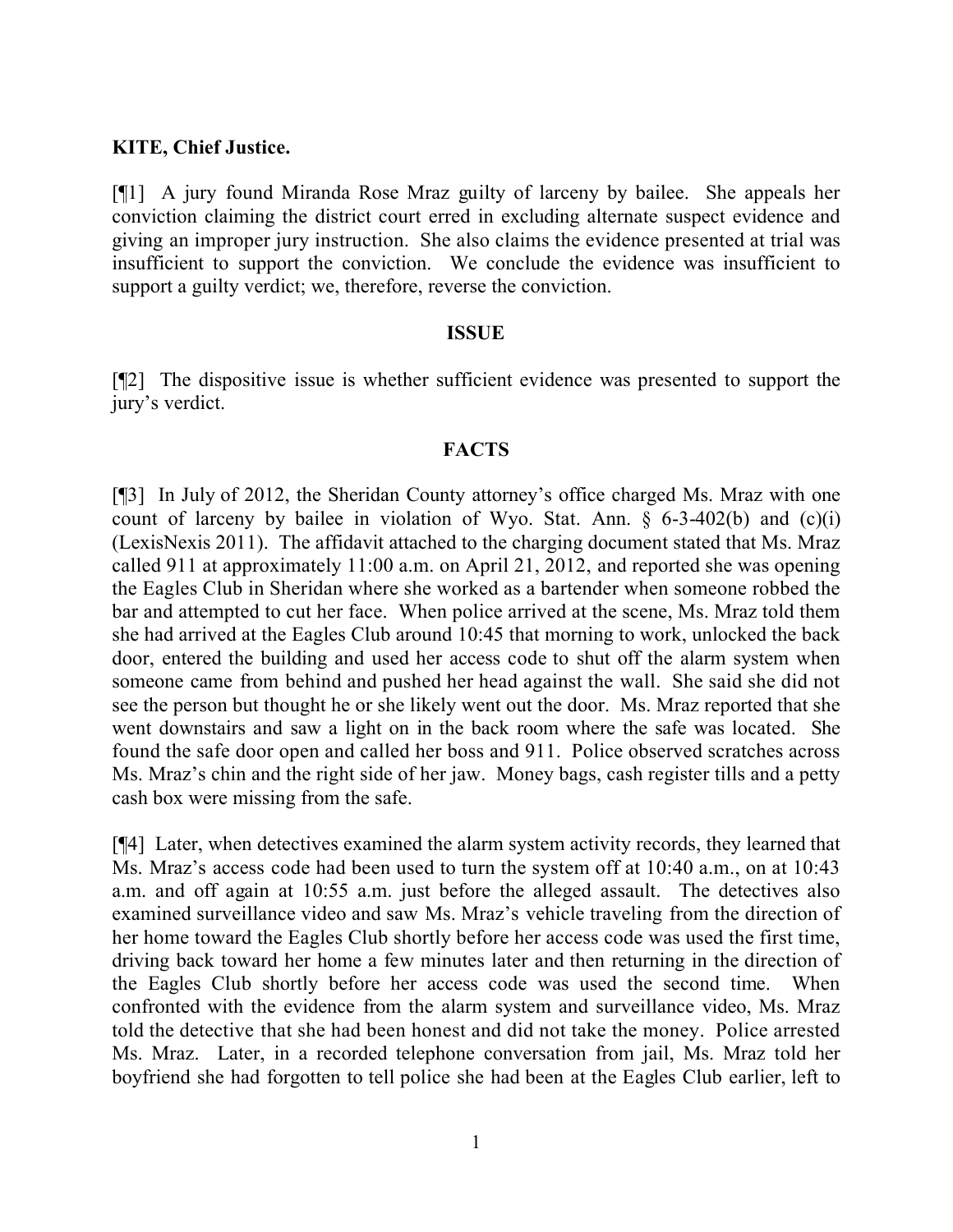### **KITE, Chief Justice.**

[¶1] A jury found Miranda Rose Mraz guilty of larceny by bailee. She appeals her conviction claiming the district court erred in excluding alternate suspect evidence and giving an improper jury instruction. She also claims the evidence presented at trial was insufficient to support the conviction. We conclude the evidence was insufficient to support a guilty verdict; we, therefore, reverse the conviction.

### **ISSUE**

[¶2] The dispositive issue is whether sufficient evidence was presented to support the jury's verdict.

### **FACTS**

[¶3] In July of 2012, the Sheridan County attorney's office charged Ms. Mraz with one count of larceny by bailee in violation of Wyo. Stat. Ann.  $\S$  6-3-402(b) and (c)(i) (LexisNexis 2011). The affidavit attached to the charging document stated that Ms. Mraz called 911 at approximately 11:00 a.m. on April 21, 2012, and reported she was opening the Eagles Club in Sheridan where she worked as a bartender when someone robbed the bar and attempted to cut her face. When police arrived at the scene, Ms. Mraz told them she had arrived at the Eagles Club around 10:45 that morning to work, unlocked the back door, entered the building and used her access code to shut off the alarm system when someone came from behind and pushed her head against the wall. She said she did not see the person but thought he or she likely went out the door. Ms. Mraz reported that she went downstairs and saw a light on in the back room where the safe was located. She found the safe door open and called her boss and 911. Police observed scratches across Ms. Mraz's chin and the right side of her jaw. Money bags, cash register tills and a petty cash box were missing from the safe.

[¶4] Later, when detectives examined the alarm system activity records, they learned that Ms. Mraz's access code had been used to turn the system off at 10:40 a.m., on at 10:43 a.m. and off again at 10:55 a.m. just before the alleged assault. The detectives also examined surveillance video and saw Ms. Mraz's vehicle traveling from the direction of her home toward the Eagles Club shortly before her access code was used the first time, driving back toward her home a few minutes later and then returning in the direction of the Eagles Club shortly before her access code was used the second time. When confronted with the evidence from the alarm system and surveillance video, Ms. Mraz told the detective that she had been honest and did not take the money. Police arrested Ms. Mraz. Later, in a recorded telephone conversation from jail, Ms. Mraz told her boyfriend she had forgotten to tell police she had been at the Eagles Club earlier, left to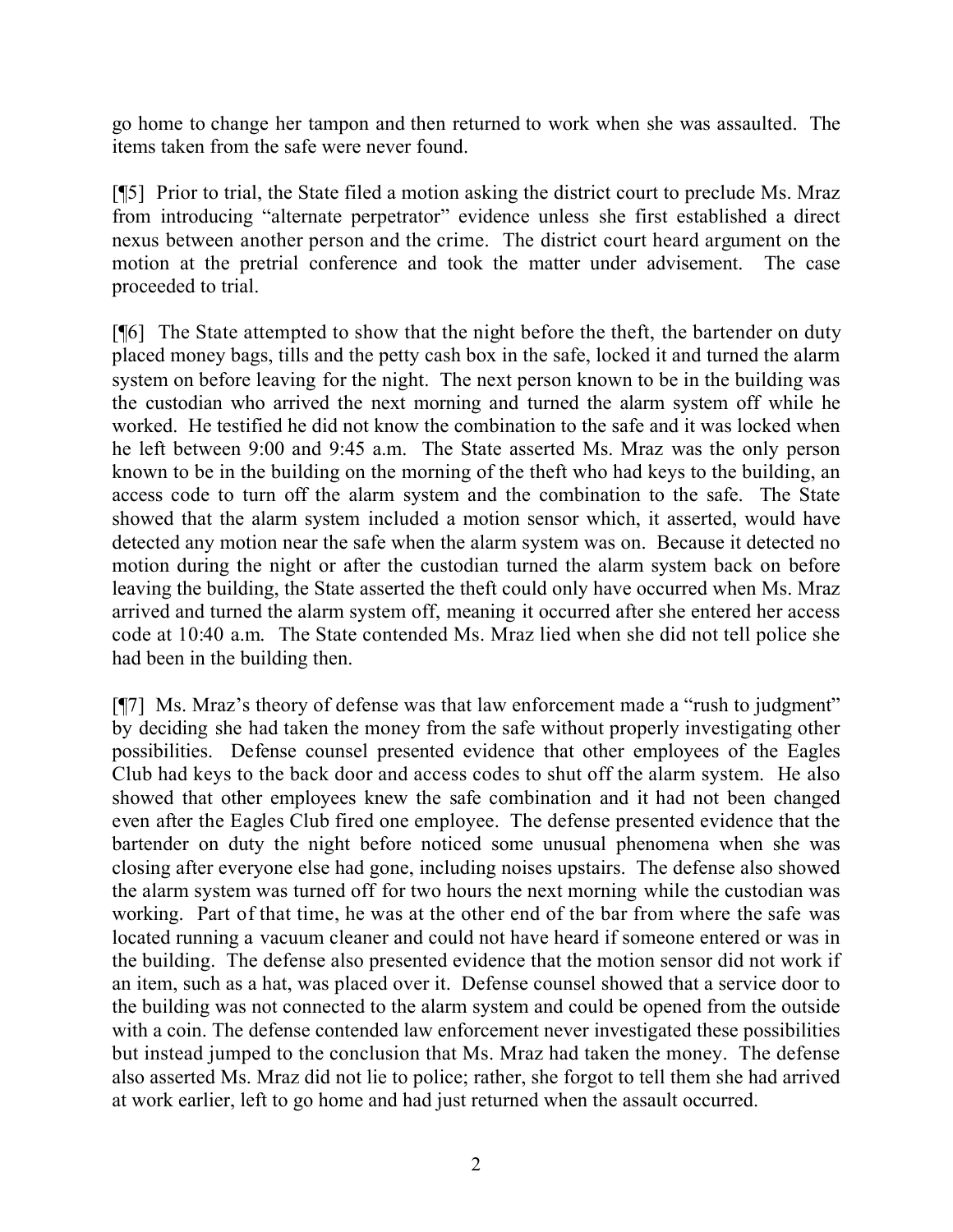go home to change her tampon and then returned to work when she was assaulted. The items taken from the safe were never found.

[¶5] Prior to trial, the State filed a motion asking the district court to preclude Ms. Mraz from introducing "alternate perpetrator" evidence unless she first established a direct nexus between another person and the crime. The district court heard argument on the motion at the pretrial conference and took the matter under advisement. The case proceeded to trial.

[¶6] The State attempted to show that the night before the theft, the bartender on duty placed money bags, tills and the petty cash box in the safe, locked it and turned the alarm system on before leaving for the night. The next person known to be in the building was the custodian who arrived the next morning and turned the alarm system off while he worked. He testified he did not know the combination to the safe and it was locked when he left between 9:00 and 9:45 a.m. The State asserted Ms. Mraz was the only person known to be in the building on the morning of the theft who had keys to the building, an access code to turn off the alarm system and the combination to the safe. The State showed that the alarm system included a motion sensor which, it asserted, would have detected any motion near the safe when the alarm system was on. Because it detected no motion during the night or after the custodian turned the alarm system back on before leaving the building, the State asserted the theft could only have occurred when Ms. Mraz arrived and turned the alarm system off, meaning it occurred after she entered her access code at 10:40 a.m. The State contended Ms. Mraz lied when she did not tell police she had been in the building then.

[¶7] Ms. Mraz's theory of defense was that law enforcement made a "rush to judgment" by deciding she had taken the money from the safe without properly investigating other possibilities. Defense counsel presented evidence that other employees of the Eagles Club had keys to the back door and access codes to shut off the alarm system. He also showed that other employees knew the safe combination and it had not been changed even after the Eagles Club fired one employee. The defense presented evidence that the bartender on duty the night before noticed some unusual phenomena when she was closing after everyone else had gone, including noises upstairs. The defense also showed the alarm system was turned off for two hours the next morning while the custodian was working. Part of that time, he was at the other end of the bar from where the safe was located running a vacuum cleaner and could not have heard if someone entered or was in the building. The defense also presented evidence that the motion sensor did not work if an item, such as a hat, was placed over it. Defense counsel showed that a service door to the building was not connected to the alarm system and could be opened from the outside with a coin. The defense contended law enforcement never investigated these possibilities but instead jumped to the conclusion that Ms. Mraz had taken the money. The defense also asserted Ms. Mraz did not lie to police; rather, she forgot to tell them she had arrived at work earlier, left to go home and had just returned when the assault occurred.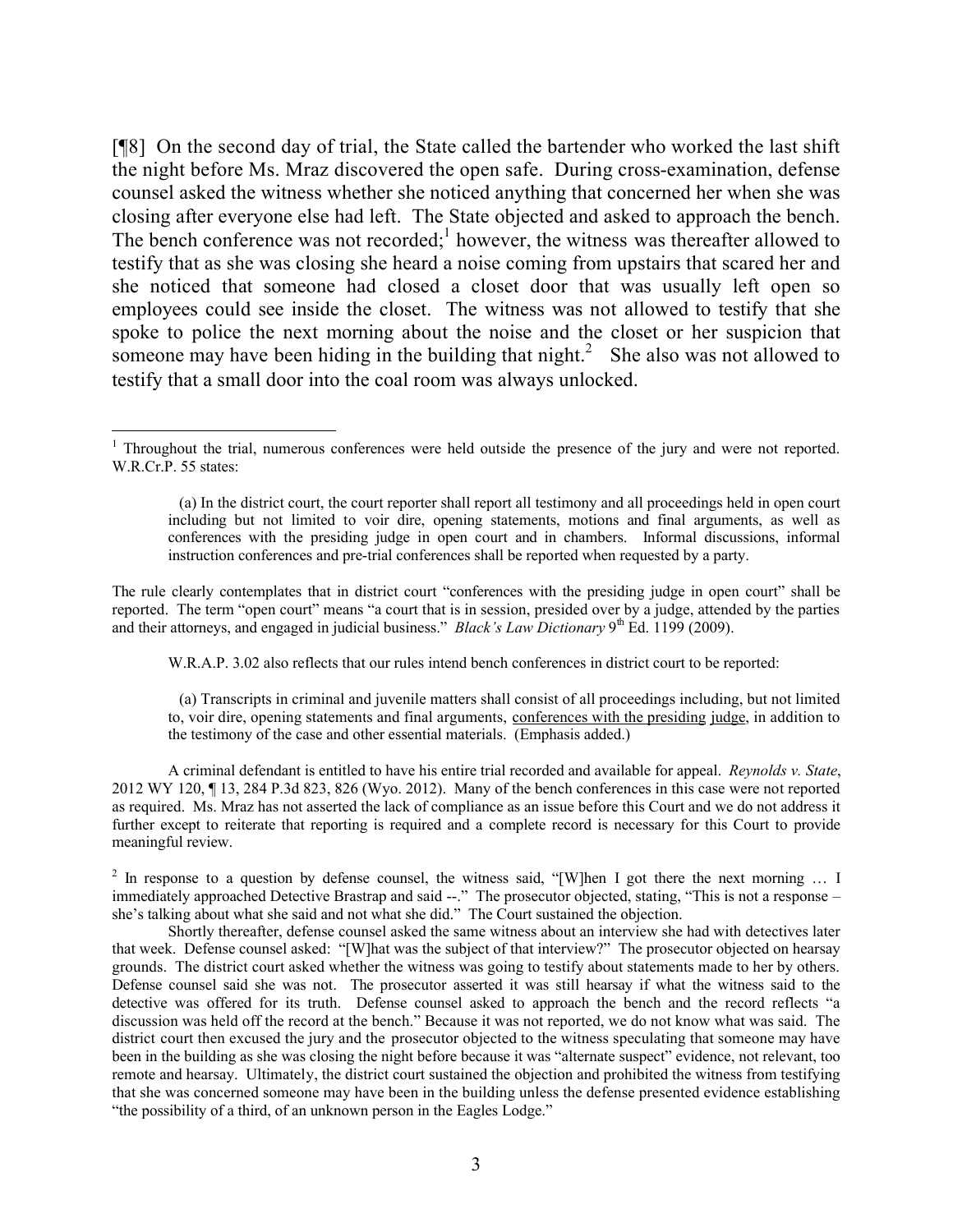[¶8] On the second day of trial, the State called the bartender who worked the last shift the night before Ms. Mraz discovered the open safe. During cross-examination, defense counsel asked the witness whether she noticed anything that concerned her when she was closing after everyone else had left. The State objected and asked to approach the bench. The bench conference was not recorded;<sup>1</sup> however, the witness was thereafter allowed to testify that as she was closing she heard a noise coming from upstairs that scared her and she noticed that someone had closed a closet door that was usually left open so employees could see inside the closet. The witness was not allowed to testify that she spoke to police the next morning about the noise and the closet or her suspicion that someone may have been hiding in the building that night.<sup>2</sup> She also was not allowed to testify that a small door into the coal room was always unlocked.

The rule clearly contemplates that in district court "conferences with the presiding judge in open court" shall be reported. The term "open court" means "a court that is in session, presided over by a judge, attended by the parties and their attorneys, and engaged in judicial business." *Black's Law Dictionary* 9<sup>th</sup> Ed. 1199 (2009).

W.R.A.P. 3.02 also reflects that our rules intend bench conferences in district court to be reported:

 (a) Transcripts in criminal and juvenile matters shall consist of all proceedings including, but not limited to, voir dire, opening statements and final arguments, conferences with the presiding judge, in addition to the testimony of the case and other essential materials. (Emphasis added.)

A criminal defendant is entitled to have his entire trial recorded and available for appeal. *Reynolds v. State*, 2012 WY 120, ¶ 13, 284 P.3d 823, 826 (Wyo. 2012). Many of the bench conferences in this case were not reported as required. Ms. Mraz has not asserted the lack of compliance as an issue before this Court and we do not address it further except to reiterate that reporting is required and a complete record is necessary for this Court to provide meaningful review.

<sup>2</sup> In response to a question by defense counsel, the witness said, "[W]hen I got there the next morning ... I immediately approached Detective Brastrap and said --." The prosecutor objected, stating, "This is not a response – she's talking about what she said and not what she did." The Court sustained the objection.

Shortly thereafter, defense counsel asked the same witness about an interview she had with detectives later that week. Defense counsel asked: "[W]hat was the subject of that interview?" The prosecutor objected on hearsay grounds. The district court asked whether the witness was going to testify about statements made to her by others. Defense counsel said she was not. The prosecutor asserted it was still hearsay if what the witness said to the detective was offered for its truth. Defense counsel asked to approach the bench and the record reflects "a discussion was held off the record at the bench." Because it was not reported, we do not know what was said. The district court then excused the jury and the prosecutor objected to the witness speculating that someone may have been in the building as she was closing the night before because it was "alternate suspect" evidence, not relevant, too remote and hearsay. Ultimately, the district court sustained the objection and prohibited the witness from testifying that she was concerned someone may have been in the building unless the defense presented evidence establishing "the possibility of a third, of an unknown person in the Eagles Lodge."

<sup>&</sup>lt;sup>1</sup> Throughout the trial, numerous conferences were held outside the presence of the jury and were not reported. W.R.Cr.P. 55 states:

 <sup>(</sup>a) In the district court, the court reporter shall report all testimony and all proceedings held in open court including but not limited to voir dire, opening statements, motions and final arguments, as well as conferences with the presiding judge in open court and in chambers. Informal discussions, informal instruction conferences and pre-trial conferences shall be reported when requested by a party.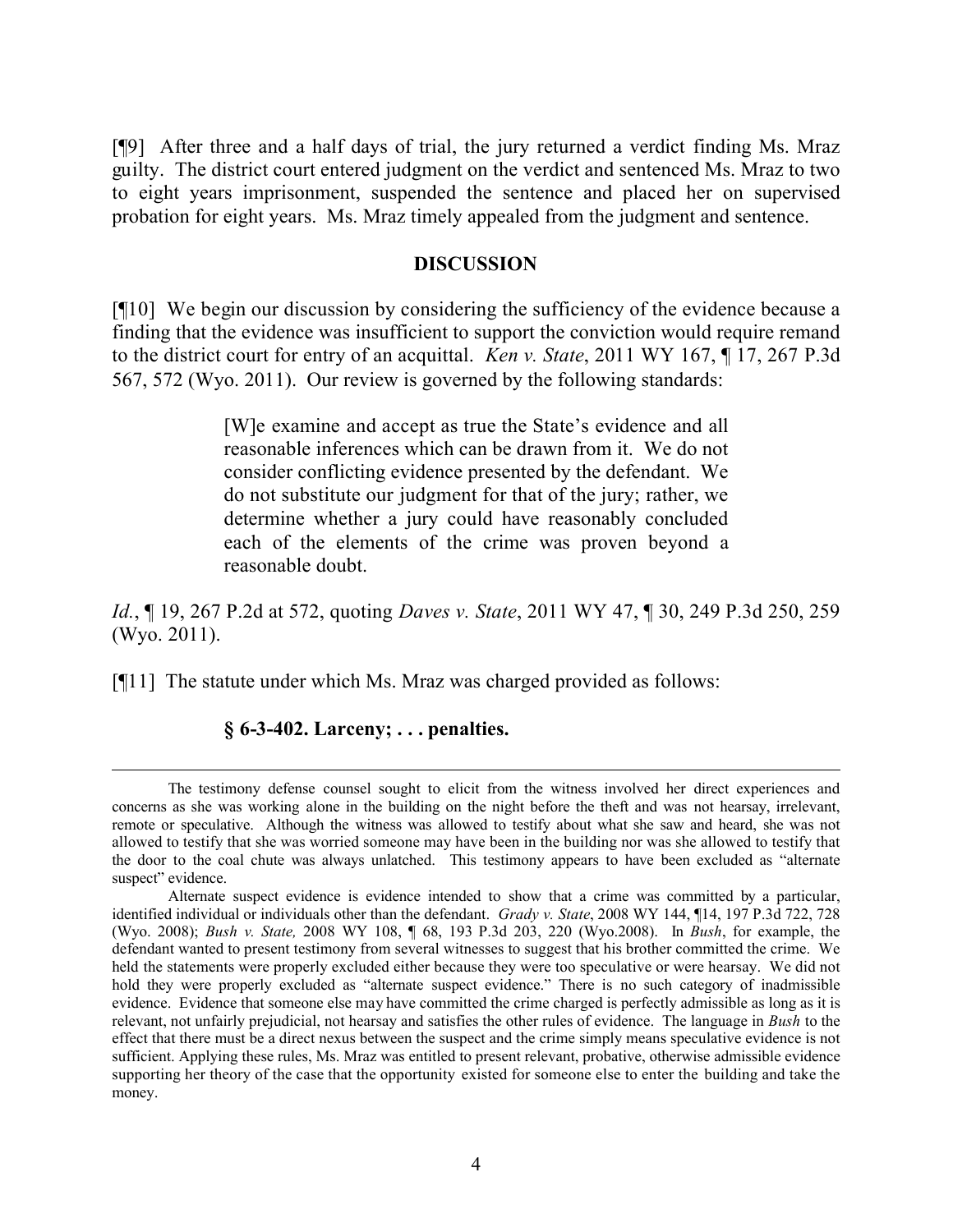[¶9] After three and a half days of trial, the jury returned a verdict finding Ms. Mraz guilty. The district court entered judgment on the verdict and sentenced Ms. Mraz to two to eight years imprisonment, suspended the sentence and placed her on supervised probation for eight years. Ms. Mraz timely appealed from the judgment and sentence.

#### **DISCUSSION**

[¶10] We begin our discussion by considering the sufficiency of the evidence because a finding that the evidence was insufficient to support the conviction would require remand to the district court for entry of an acquittal. *Ken v. State*, 2011 WY 167, ¶ 17, 267 P.3d 567, 572 (Wyo. 2011). Our review is governed by the following standards:

> [W]e examine and accept as true the State's evidence and all reasonable inferences which can be drawn from it. We do not consider conflicting evidence presented by the defendant. We do not substitute our judgment for that of the jury; rather, we determine whether a jury could have reasonably concluded each of the elements of the crime was proven beyond a reasonable doubt.

*Id.*, ¶ 19, 267 P.2d at 572, quoting *Daves v. State*, 2011 WY 47, ¶ 30, 249 P.3d 250, 259 (Wyo. 2011).

[¶11] The statute under which Ms. Mraz was charged provided as follows:

## **§ 6-3-402. Larceny; . . . penalties.**

 $\overline{a}$ 

The testimony defense counsel sought to elicit from the witness involved her direct experiences and concerns as she was working alone in the building on the night before the theft and was not hearsay, irrelevant, remote or speculative. Although the witness was allowed to testify about what she saw and heard, she was not allowed to testify that she was worried someone may have been in the building nor was she allowed to testify that the door to the coal chute was always unlatched. This testimony appears to have been excluded as "alternate suspect" evidence.

Alternate suspect evidence is evidence intended to show that a crime was committed by a particular, identified individual or individuals other than the defendant. *Grady v. State*, 2008 WY 144, ¶14, 197 P.3d 722, 728 (Wyo. 2008); *Bush v. State,* 2008 WY 108, ¶ 68, 193 P.3d 203, 220 (Wyo.2008). In *Bush*, for example, the defendant wanted to present testimony from several witnesses to suggest that his brother committed the crime. We held the statements were properly excluded either because they were too speculative or were hearsay. We did not hold they were properly excluded as "alternate suspect evidence." There is no such category of inadmissible evidence. Evidence that someone else may have committed the crime charged is perfectly admissible as long as it is relevant, not unfairly prejudicial, not hearsay and satisfies the other rules of evidence. The language in *Bush* to the effect that there must be a direct nexus between the suspect and the crime simply means speculative evidence is not sufficient. Applying these rules, Ms. Mraz was entitled to present relevant, probative, otherwise admissible evidence supporting her theory of the case that the opportunity existed for someone else to enter the building and take the money.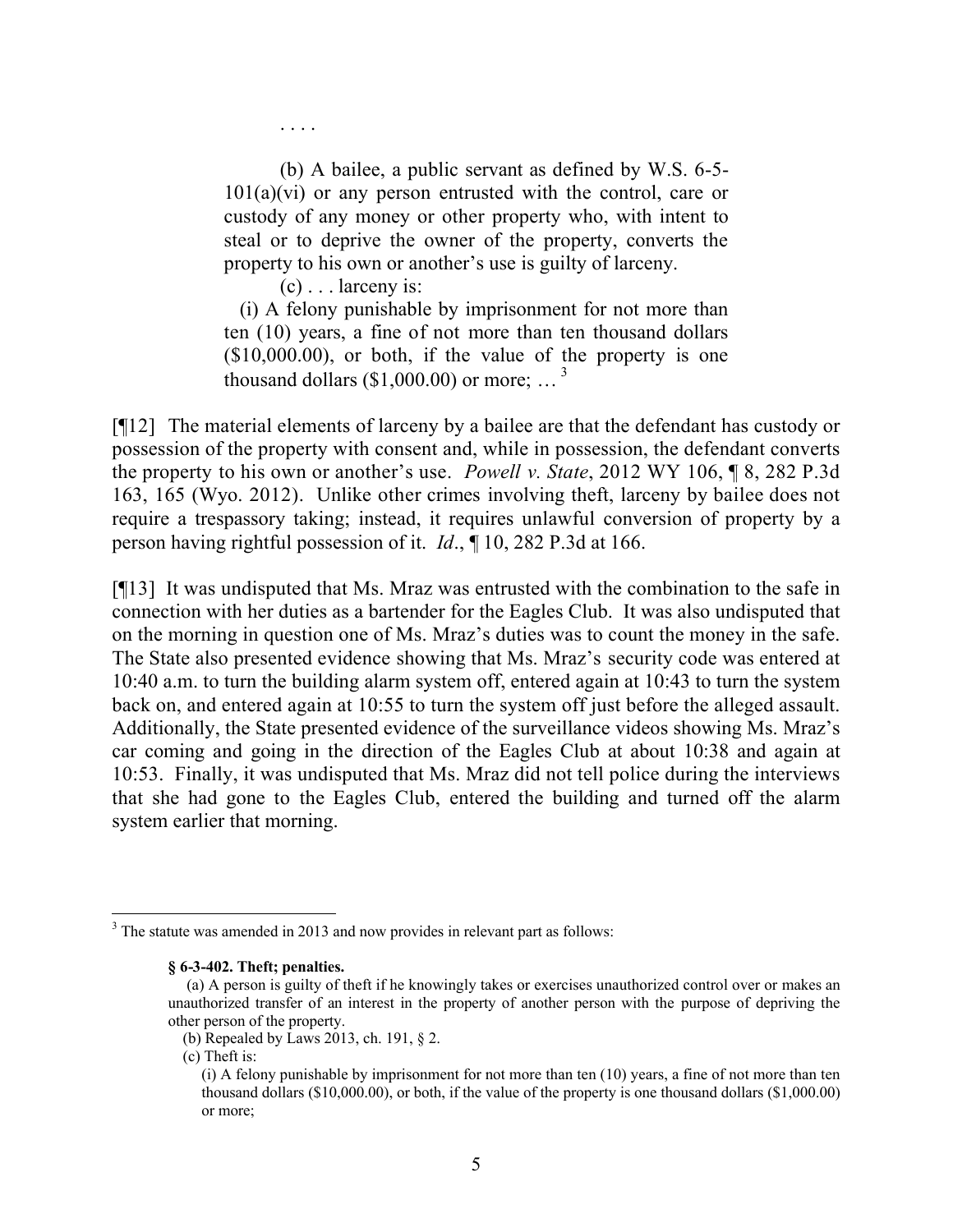(b) A bailee, a public servant as defined by W.S. 6-5-  $101(a)(vi)$  or any person entrusted with the control, care or custody of any money or other property who, with intent to steal or to deprive the owner of the property, converts the property to his own or another's use is guilty of larceny.

 $(c)$ ... larceny is:

. . . .

 (i) A felony punishable by imprisonment for not more than ten (10) years, a fine of not more than ten thousand dollars  $($10,000.00)$ , or both, if the value of the property is one thousand dollars (\$1,000.00) or more;  $\ldots$ <sup>3</sup>

[¶12] The material elements of larceny by a bailee are that the defendant has custody or possession of the property with consent and, while in possession, the defendant converts the property to his own or another's use. *Powell v. State*, 2012 WY 106, ¶ 8, 282 P.3d 163, 165 (Wyo. 2012). Unlike other crimes involving theft, larceny by bailee does not require a trespassory taking; instead, it requires unlawful conversion of property by a person having rightful possession of it. *Id*., ¶ 10, 282 P.3d at 166.

[¶13] It was undisputed that Ms. Mraz was entrusted with the combination to the safe in connection with her duties as a bartender for the Eagles Club. It was also undisputed that on the morning in question one of Ms. Mraz's duties was to count the money in the safe. The State also presented evidence showing that Ms. Mraz's security code was entered at 10:40 a.m. to turn the building alarm system off, entered again at 10:43 to turn the system back on, and entered again at 10:55 to turn the system off just before the alleged assault. Additionally, the State presented evidence of the surveillance videos showing Ms. Mraz's car coming and going in the direction of the Eagles Club at about 10:38 and again at 10:53. Finally, it was undisputed that Ms. Mraz did not tell police during the interviews that she had gone to the Eagles Club, entered the building and turned off the alarm system earlier that morning.

<sup>&</sup>lt;sup>3</sup> The statute was amended in 2013 and now provides in relevant part as follows:

**<sup>§ 6-3-402.</sup> Theft; penalties.**

 <sup>(</sup>a) A person is guilty of theft if he knowingly takes or exercises unauthorized control over or makes an unauthorized transfer of an interest in the property of another person with the purpose of depriving the other person of the property.

 <sup>(</sup>b) Repealed by Laws 2013, ch. 191, § 2.

 <sup>(</sup>c) Theft is:

<sup>(</sup>i) A felony punishable by imprisonment for not more than ten (10) years, a fine of not more than ten thousand dollars (\$10,000.00), or both, if the value of the property is one thousand dollars (\$1,000.00) or more;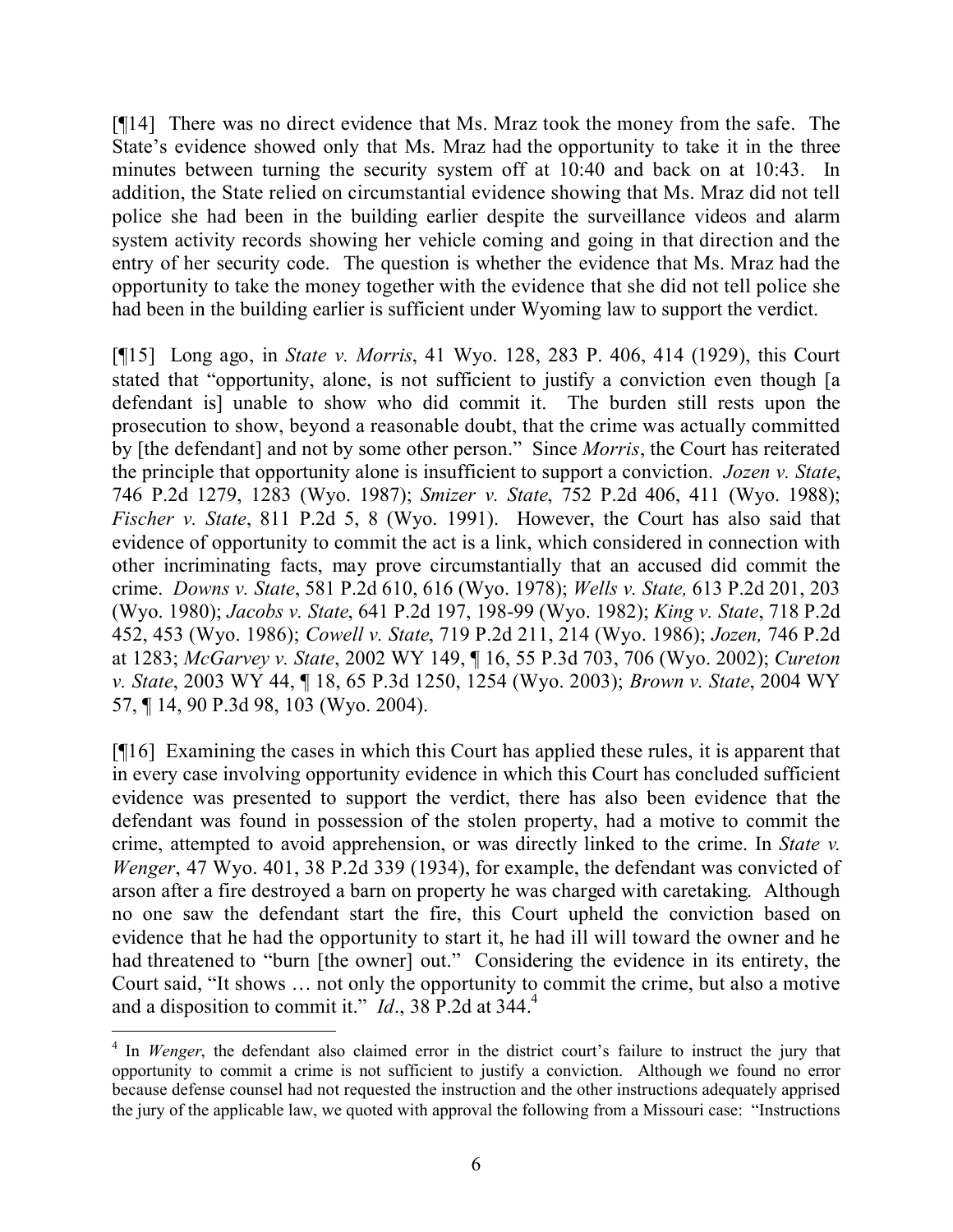[¶14] There was no direct evidence that Ms. Mraz took the money from the safe. The State's evidence showed only that Ms. Mraz had the opportunity to take it in the three minutes between turning the security system off at 10:40 and back on at 10:43. In addition, the State relied on circumstantial evidence showing that Ms. Mraz did not tell police she had been in the building earlier despite the surveillance videos and alarm system activity records showing her vehicle coming and going in that direction and the entry of her security code. The question is whether the evidence that Ms. Mraz had the opportunity to take the money together with the evidence that she did not tell police she had been in the building earlier is sufficient under Wyoming law to support the verdict.

[¶15] Long ago, in *State v. Morris*, 41 Wyo. 128, 283 P. 406, 414 (1929), this Court stated that "opportunity, alone, is not sufficient to justify a conviction even though [a defendant is] unable to show who did commit it. The burden still rests upon the prosecution to show, beyond a reasonable doubt, that the crime was actually committed by [the defendant] and not by some other person." Since *Morris*, the Court has reiterated the principle that opportunity alone is insufficient to support a conviction. *Jozen v. State*, 746 P.2d 1279, 1283 (Wyo. 1987); *Smizer v. State*, 752 P.2d 406, 411 (Wyo. 1988); *Fischer v. State*, 811 P.2d 5, 8 (Wyo. 1991). However, the Court has also said that evidence of opportunity to commit the act is a link, which considered in connection with other incriminating facts, may prove circumstantially that an accused did commit the crime. *Downs v. State*, 581 P.2d 610, 616 (Wyo. 1978); *Wells v. State,* 613 P.2d 201, 203 (Wyo. 1980); *Jacobs v. State*, 641 P.2d 197, 198-99 (Wyo. 1982); *King v. State*, 718 P.2d 452, 453 (Wyo. 1986); *Cowell v. State*, 719 P.2d 211, 214 (Wyo. 1986); *Jozen,* 746 P.2d at 1283; *McGarvey v. State*, 2002 WY 149, ¶ 16, 55 P.3d 703, 706 (Wyo. 2002); *Cureton v. State*, 2003 WY 44, ¶ 18, 65 P.3d 1250, 1254 (Wyo. 2003); *Brown v. State*, 2004 WY 57, ¶ 14, 90 P.3d 98, 103 (Wyo. 2004).

[¶16] Examining the cases in which this Court has applied these rules, it is apparent that in every case involving opportunity evidence in which this Court has concluded sufficient evidence was presented to support the verdict, there has also been evidence that the defendant was found in possession of the stolen property, had a motive to commit the crime, attempted to avoid apprehension, or was directly linked to the crime. In *State v. Wenger*, 47 Wyo. 401, 38 P.2d 339 (1934), for example, the defendant was convicted of arson after a fire destroyed a barn on property he was charged with caretaking. Although no one saw the defendant start the fire, this Court upheld the conviction based on evidence that he had the opportunity to start it, he had ill will toward the owner and he had threatened to "burn [the owner] out." Considering the evidence in its entirety, the Court said, "It shows … not only the opportunity to commit the crime, but also a motive and a disposition to commit it."  $Id.$ , 38 P.2d at 344.<sup>4</sup>

 $\overline{a}$ 

<sup>&</sup>lt;sup>4</sup> In *Wenger*, the defendant also claimed error in the district court's failure to instruct the jury that opportunity to commit a crime is not sufficient to justify a conviction. Although we found no error because defense counsel had not requested the instruction and the other instructions adequately apprised the jury of the applicable law, we quoted with approval the following from a Missouri case: "Instructions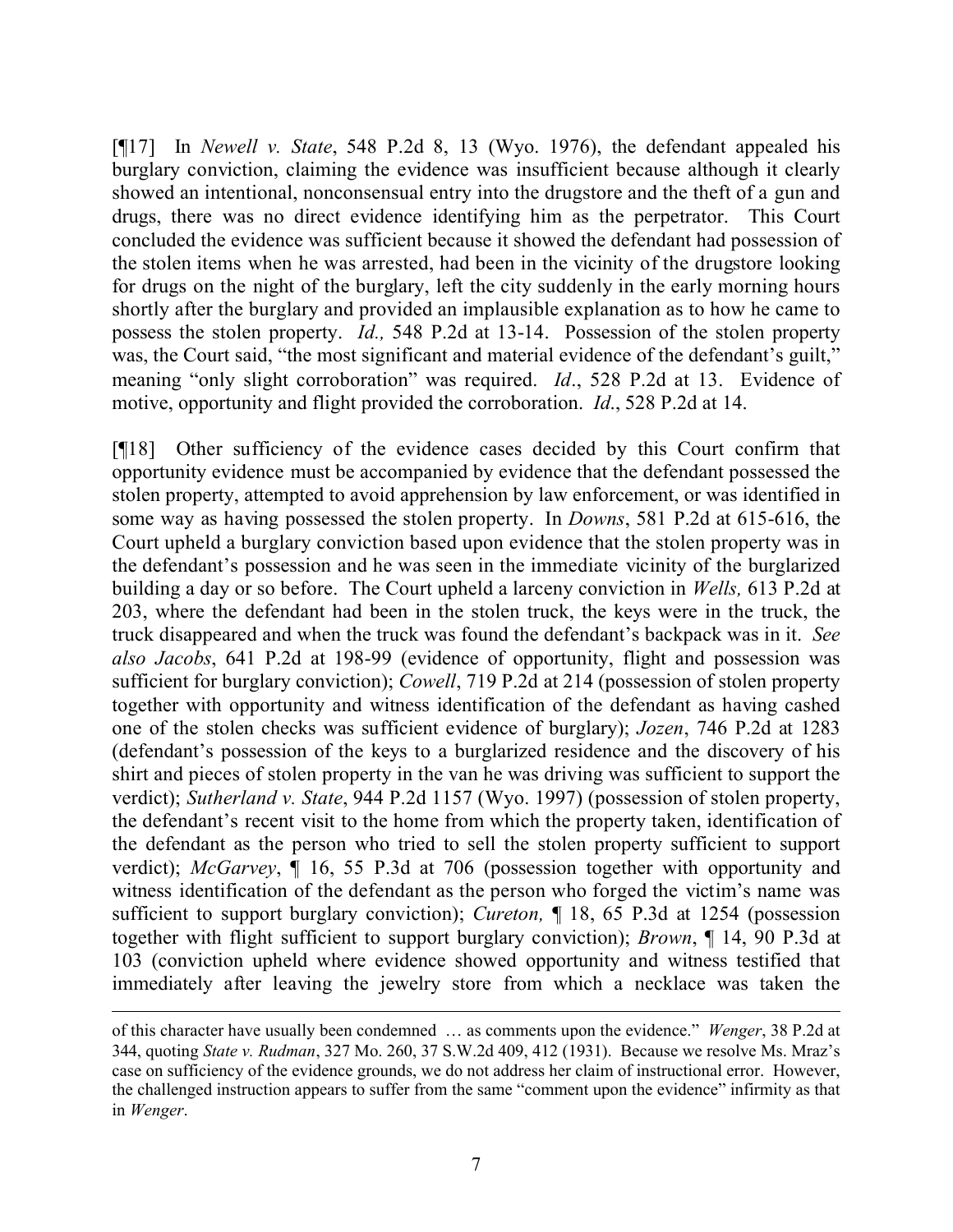[¶17] In *Newell v. State*, 548 P.2d 8, 13 (Wyo. 1976), the defendant appealed his burglary conviction, claiming the evidence was insufficient because although it clearly showed an intentional, nonconsensual entry into the drugstore and the theft of a gun and drugs, there was no direct evidence identifying him as the perpetrator. This Court concluded the evidence was sufficient because it showed the defendant had possession of the stolen items when he was arrested, had been in the vicinity of the drugstore looking for drugs on the night of the burglary, left the city suddenly in the early morning hours shortly after the burglary and provided an implausible explanation as to how he came to possess the stolen property. *Id.,* 548 P.2d at 13-14. Possession of the stolen property was, the Court said, "the most significant and material evidence of the defendant's guilt," meaning "only slight corroboration" was required. *Id*., 528 P.2d at 13. Evidence of motive, opportunity and flight provided the corroboration. *Id*., 528 P.2d at 14.

[¶18] Other sufficiency of the evidence cases decided by this Court confirm that opportunity evidence must be accompanied by evidence that the defendant possessed the stolen property, attempted to avoid apprehension by law enforcement, or was identified in some way as having possessed the stolen property. In *Downs*, 581 P.2d at 615-616, the Court upheld a burglary conviction based upon evidence that the stolen property was in the defendant's possession and he was seen in the immediate vicinity of the burglarized building a day or so before. The Court upheld a larceny conviction in *Wells,* 613 P.2d at 203, where the defendant had been in the stolen truck, the keys were in the truck, the truck disappeared and when the truck was found the defendant's backpack was in it. *See also Jacobs*, 641 P.2d at 198-99 (evidence of opportunity, flight and possession was sufficient for burglary conviction); *Cowell*, 719 P.2d at 214 (possession of stolen property together with opportunity and witness identification of the defendant as having cashed one of the stolen checks was sufficient evidence of burglary); *Jozen*, 746 P.2d at 1283 (defendant's possession of the keys to a burglarized residence and the discovery of his shirt and pieces of stolen property in the van he was driving was sufficient to support the verdict); *Sutherland v. State*, 944 P.2d 1157 (Wyo. 1997) (possession of stolen property, the defendant's recent visit to the home from which the property taken, identification of the defendant as the person who tried to sell the stolen property sufficient to support verdict); *McGarvey*, ¶ 16, 55 P.3d at 706 (possession together with opportunity and witness identification of the defendant as the person who forged the victim's name was sufficient to support burglary conviction); *Cureton,* ¶ 18, 65 P.3d at 1254 (possession together with flight sufficient to support burglary conviction); *Brown*, ¶ 14, 90 P.3d at 103 (conviction upheld where evidence showed opportunity and witness testified that immediately after leaving the jewelry store from which a necklace was taken the

of this character have usually been condemned … as comments upon the evidence." *Wenger*, 38 P.2d at 344, quoting *State v. Rudman*, 327 Mo. 260, 37 S.W.2d 409, 412 (1931). Because we resolve Ms. Mraz's case on sufficiency of the evidence grounds, we do not address her claim of instructional error. However, the challenged instruction appears to suffer from the same "comment upon the evidence" infirmity as that in *Wenger*.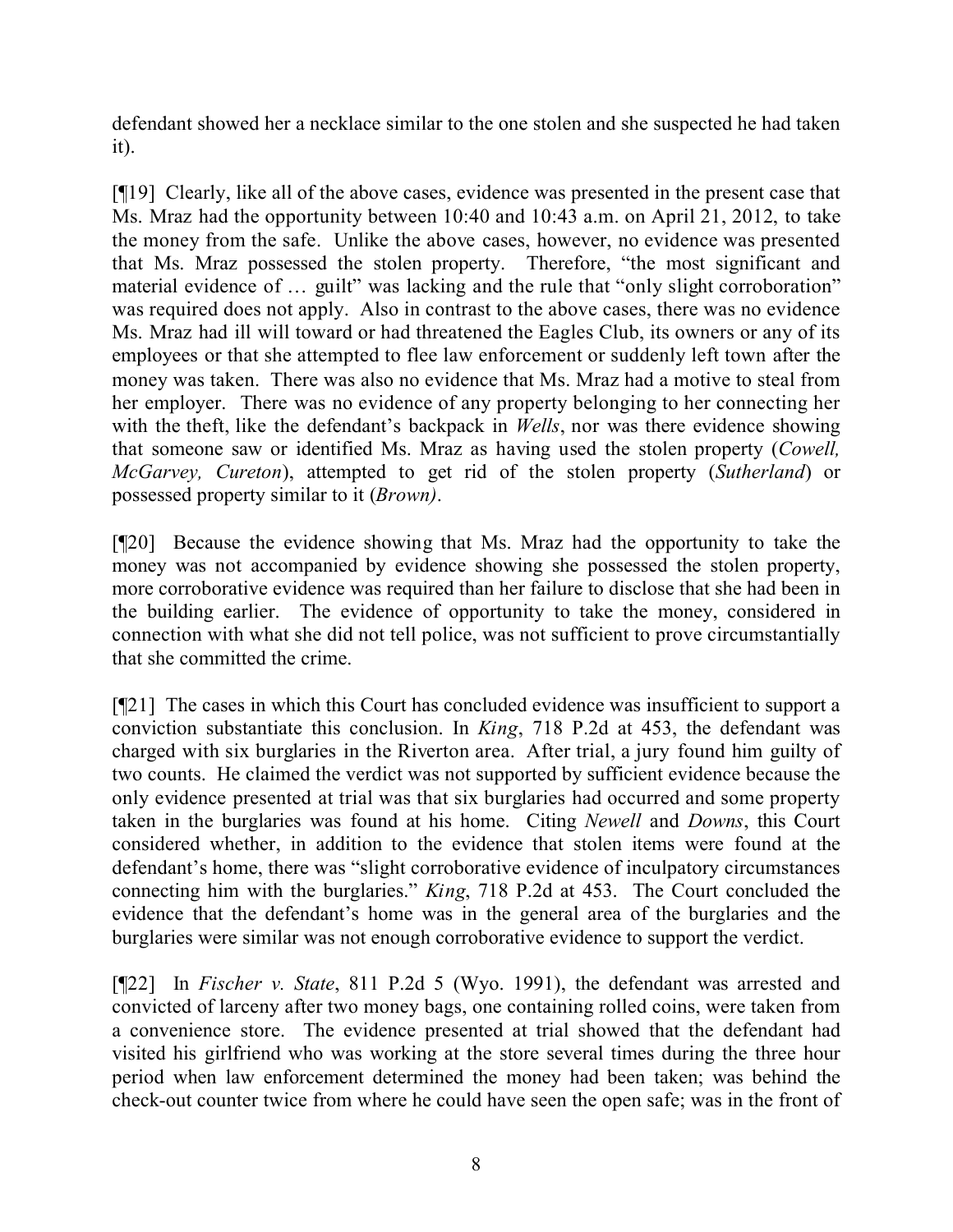defendant showed her a necklace similar to the one stolen and she suspected he had taken it).

[¶19] Clearly, like all of the above cases, evidence was presented in the present case that Ms. Mraz had the opportunity between 10:40 and 10:43 a.m. on April 21, 2012, to take the money from the safe. Unlike the above cases, however, no evidence was presented that Ms. Mraz possessed the stolen property. Therefore, "the most significant and material evidence of ... guilt" was lacking and the rule that "only slight corroboration" was required does not apply. Also in contrast to the above cases, there was no evidence Ms. Mraz had ill will toward or had threatened the Eagles Club, its owners or any of its employees or that she attempted to flee law enforcement or suddenly left town after the money was taken. There was also no evidence that Ms. Mraz had a motive to steal from her employer. There was no evidence of any property belonging to her connecting her with the theft, like the defendant's backpack in *Wells*, nor was there evidence showing that someone saw or identified Ms. Mraz as having used the stolen property (*Cowell, McGarvey, Cureton*), attempted to get rid of the stolen property (*Sutherland*) or possessed property similar to it (*Brown)*.

[¶20] Because the evidence showing that Ms. Mraz had the opportunity to take the money was not accompanied by evidence showing she possessed the stolen property, more corroborative evidence was required than her failure to disclose that she had been in the building earlier. The evidence of opportunity to take the money, considered in connection with what she did not tell police, was not sufficient to prove circumstantially that she committed the crime.

[¶21] The cases in which this Court has concluded evidence was insufficient to support a conviction substantiate this conclusion. In *King*, 718 P.2d at 453, the defendant was charged with six burglaries in the Riverton area. After trial, a jury found him guilty of two counts. He claimed the verdict was not supported by sufficient evidence because the only evidence presented at trial was that six burglaries had occurred and some property taken in the burglaries was found at his home. Citing *Newell* and *Downs*, this Court considered whether, in addition to the evidence that stolen items were found at the defendant's home, there was "slight corroborative evidence of inculpatory circumstances connecting him with the burglaries." *King*, 718 P.2d at 453. The Court concluded the evidence that the defendant's home was in the general area of the burglaries and the burglaries were similar was not enough corroborative evidence to support the verdict.

[¶22] In *Fischer v. State*, 811 P.2d 5 (Wyo. 1991), the defendant was arrested and convicted of larceny after two money bags, one containing rolled coins, were taken from a convenience store. The evidence presented at trial showed that the defendant had visited his girlfriend who was working at the store several times during the three hour period when law enforcement determined the money had been taken; was behind the check-out counter twice from where he could have seen the open safe; was in the front of